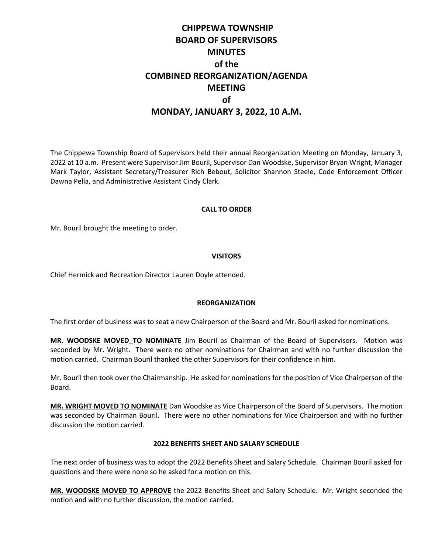# **CHIPPEWA TOWNSHIP BOARD OF SUPERVISORS MINUTES of the COMBINED REORGANIZATION/AGENDA MEETING of MONDAY, JANUARY 3, 2022, 10 A.M.**

The Chippewa Township Board of Supervisors held their annual Reorganization Meeting on Monday, January 3, 2022 at 10 a.m. Present were Supervisor Jim Bouril, Supervisor Dan Woodske, Supervisor Bryan Wright, Manager Mark Taylor, Assistant Secretary/Treasurer Rich Bebout, Solicitor Shannon Steele, Code Enforcement Officer Dawna Pella, and Administrative Assistant Cindy Clark.

#### **CALL TO ORDER**

Mr. Bouril brought the meeting to order.

#### **VISITORS**

Chief Hermick and Recreation Director Lauren Doyle attended.

#### **REORGANIZATION**

The first order of business was to seat a new Chairperson of the Board and Mr. Bouril asked for nominations.

**MR. WOODSKE MOVED TO NOMINATE** Jim Bouril as Chairman of the Board of Supervisors. Motion was seconded by Mr. Wright. There were no other nominations for Chairman and with no further discussion the motion carried. Chairman Bouril thanked the other Supervisors for their confidence in him.

Mr. Bouril then took over the Chairmanship. He asked for nominations for the position of Vice Chairperson of the Board.

**MR. WRIGHT MOVED TO NOMINATE** Dan Woodske as Vice Chairperson of the Board of Supervisors. The motion was seconded by Chairman Bouril. There were no other nominations for Vice Chairperson and with no further discussion the motion carried.

#### **2022 BENEFITS SHEET AND SALARY SCHEDULE**

The next order of business was to adopt the 2022 Benefits Sheet and Salary Schedule. Chairman Bouril asked for questions and there were none so he asked for a motion on this.

**MR. WOODSKE MOVED TO APPROVE** the 2022 Benefits Sheet and Salary Schedule. Mr. Wright seconded the motion and with no further discussion, the motion carried.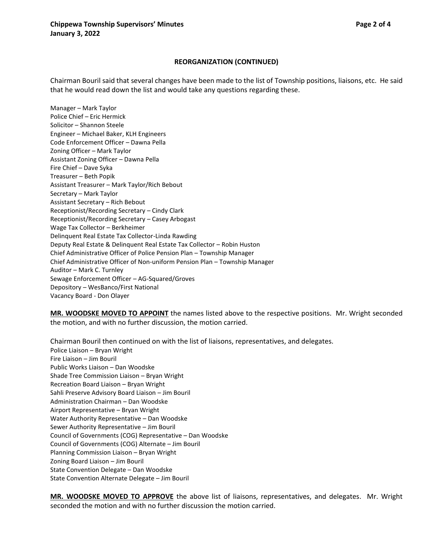#### **REORGANIZATION (CONTINUED)**

Chairman Bouril said that several changes have been made to the list of Township positions, liaisons, etc. He said that he would read down the list and would take any questions regarding these.

Manager – Mark Taylor Police Chief – Eric Hermick Solicitor – Shannon Steele Engineer – Michael Baker, KLH Engineers Code Enforcement Officer – Dawna Pella Zoning Officer – Mark Taylor Assistant Zoning Officer – Dawna Pella Fire Chief – Dave Syka Treasurer – Beth Popik Assistant Treasurer – Mark Taylor/Rich Bebout Secretary – Mark Taylor Assistant Secretary – Rich Bebout Receptionist/Recording Secretary – Cindy Clark Receptionist/Recording Secretary – Casey Arbogast Wage Tax Collector – Berkheimer Delinquent Real Estate Tax Collector-Linda Rawding Deputy Real Estate & Delinquent Real Estate Tax Collector – Robin Huston Chief Administrative Officer of Police Pension Plan – Township Manager Chief Administrative Officer of Non-uniform Pension Plan – Township Manager Auditor – Mark C. Turnley Sewage Enforcement Officer – AG-Squared/Groves Depository – WesBanco/First National Vacancy Board - Don Olayer

**MR. WOODSKE MOVED TO APPOINT** the names listed above to the respective positions. Mr. Wright seconded the motion, and with no further discussion, the motion carried.

Chairman Bouril then continued on with the list of liaisons, representatives, and delegates. Police Liaison – Bryan Wright Fire Liaison – Jim Bouril Public Works Liaison – Dan Woodske Shade Tree Commission Liaison – Bryan Wright Recreation Board Liaison – Bryan Wright Sahli Preserve Advisory Board Liaison – Jim Bouril Administration Chairman – Dan Woodske Airport Representative – Bryan Wright Water Authority Representative – Dan Woodske Sewer Authority Representative – Jim Bouril Council of Governments (COG) Representative – Dan Woodske Council of Governments (COG) Alternate – Jim Bouril Planning Commission Liaison – Bryan Wright Zoning Board Liaison – Jim Bouril State Convention Delegate – Dan Woodske State Convention Alternate Delegate – Jim Bouril

**MR. WOODSKE MOVED TO APPROVE** the above list of liaisons, representatives, and delegates. Mr. Wright seconded the motion and with no further discussion the motion carried.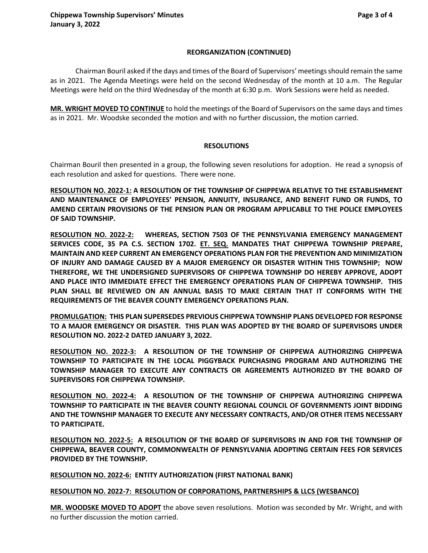# **REORGANIZATION (CONTINUED)**

Chairman Bouril asked if the days and times of the Board of Supervisors' meetings should remain the same as in 2021. The Agenda Meetings were held on the second Wednesday of the month at 10 a.m. The Regular Meetings were held on the third Wednesday of the month at 6:30 p.m. Work Sessions were held as needed.

**MR. WRIGHT MOVED TO CONTINUE** to hold the meetings of the Board of Supervisors on the same days and times as in 2021. Mr. Woodske seconded the motion and with no further discussion, the motion carried.

# **RESOLUTIONS**

Chairman Bouril then presented in a group, the following seven resolutions for adoption. He read a synopsis of each resolution and asked for questions. There were none.

**RESOLUTION NO. 2022-1: A RESOLUTION OF THE TOWNSHIP OF CHIPPEWA RELATIVE TO THE ESTABLISHMENT AND MAINTENANCE OF EMPLOYEES' PENSION, ANNUITY, INSURANCE, AND BENEFIT FUND OR FUNDS, TO AMEND CERTAIN PROVISIONS OF THE PENSION PLAN OR PROGRAM APPLICABLE TO THE POLICE EMPLOYEES OF SAID TOWNSHIP.**

**RESOLUTION NO. 2022-2: WHEREAS, SECTION 7503 OF THE PENNSYLVANIA EMERGENCY MANAGEMENT SERVICES CODE, 35 PA C.S. SECTION 1702. ET. SEQ. MANDATES THAT CHIPPEWA TOWNSHIP PREPARE, MAINTAIN AND KEEP CURRENT AN EMERGENCY OPERATIONS PLAN FOR THE PREVENTION AND MINIMIZATION OF INJURY AND DAMAGE CAUSED BY A MAJOR EMERGENCY OR DISASTER WITHIN THIS TOWNSHIP; NOW THEREFORE, WE THE UNDERSIGNED SUPERVISORS OF CHIPPEWA TOWNSHIP DO HEREBY APPROVE, ADOPT AND PLACE INTO IMMEDIATE EFFECT THE EMERGENCY OPERATIONS PLAN OF CHIPPEWA TOWNSHIP. THIS PLAN SHALL BE REVIEWED ON AN ANNUAL BASIS TO MAKE CERTAIN THAT IT CONFORMS WITH THE REQUIREMENTS OF THE BEAVER COUNTY EMERGENCY OPERATIONS PLAN.**

**PROMULGATION: THIS PLAN SUPERSEDES PREVIOUS CHIPPEWA TOWNSHIP PLANS DEVELOPED FOR RESPONSE TO A MAJOR EMERGENCY OR DISASTER. THIS PLAN WAS ADOPTED BY THE BOARD OF SUPERVISORS UNDER RESOLUTION NO. 2022-2 DATED JANUARY 3, 2022.**

**RESOLUTION NO. 2022-3: A RESOLUTION OF THE TOWNSHIP OF CHIPPEWA AUTHORIZING CHIPPEWA TOWNSHIP TO PARTICIPATE IN THE LOCAL PIGGYBACK PURCHASING PROGRAM AND AUTHORIZING THE TOWNSHIP MANAGER TO EXECUTE ANY CONTRACTS OR AGREEMENTS AUTHORIZED BY THE BOARD OF SUPERVISORS FOR CHIPPEWA TOWNSHIP.**

**RESOLUTION NO. 2022-4: A RESOLUTION OF THE TOWNSHIP OF CHIPPEWA AUTHORIZING CHIPPEWA TOWNSHIP TO PARTICIPATE IN THE BEAVER COUNTY REGIONAL COUNCIL OF GOVERNMENTS JOINT BIDDING AND THE TOWNSHIP MANAGER TO EXECUTE ANY NECESSARY CONTRACTS, AND/OR OTHER ITEMS NECESSARY TO PARTICIPATE.**

**RESOLUTION NO. 2022-5: A RESOLUTION OF THE BOARD OF SUPERVISORS IN AND FOR THE TOWNSHIP OF CHIPPEWA, BEAVER COUNTY, COMMONWEALTH OF PENNSYLVANIA ADOPTING CERTAIN FEES FOR SERVICES PROVIDED BY THE TOWNSHIP.**

**RESOLUTION NO. 2022-6: ENTITY AUTHORIZATION (FIRST NATIONAL BANK)**

# **RESOLUTION NO. 2022-7: RESOLUTION OF CORPORATIONS, PARTNERSHIPS & LLCS (WESBANCO)**

**MR. WOODSKE MOVED TO ADOPT** the above seven resolutions. Motion was seconded by Mr. Wright, and with no further discussion the motion carried.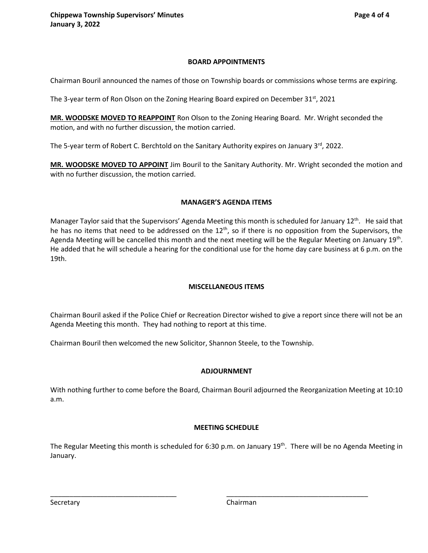#### **BOARD APPOINTMENTS**

Chairman Bouril announced the names of those on Township boards or commissions whose terms are expiring.

The 3-year term of Ron Olson on the Zoning Hearing Board expired on December  $31^{st}$ , 2021

**MR. WOODSKE MOVED TO REAPPOINT** Ron Olson to the Zoning Hearing Board. Mr. Wright seconded the motion, and with no further discussion, the motion carried.

The 5-year term of Robert C. Berchtold on the Sanitary Authority expires on January 3<sup>rd</sup>, 2022.

**MR. WOODSKE MOVED TO APPOINT** Jim Bouril to the Sanitary Authority. Mr. Wright seconded the motion and with no further discussion, the motion carried.

#### **MANAGER'S AGENDA ITEMS**

Manager Taylor said that the Supervisors' Agenda Meeting this month is scheduled for January 12<sup>th</sup>. He said that he has no items that need to be addressed on the  $12<sup>th</sup>$ , so if there is no opposition from the Supervisors, the Agenda Meeting will be cancelled this month and the next meeting will be the Regular Meeting on January 19<sup>th</sup>. He added that he will schedule a hearing for the conditional use for the home day care business at 6 p.m. on the 19th.

# **MISCELLANEOUS ITEMS**

Chairman Bouril asked if the Police Chief or Recreation Director wished to give a report since there will not be an Agenda Meeting this month. They had nothing to report at this time.

Chairman Bouril then welcomed the new Solicitor, Shannon Steele, to the Township.

# **ADJOURNMENT**

With nothing further to come before the Board, Chairman Bouril adjourned the Reorganization Meeting at 10:10 a.m.

# **MEETING SCHEDULE**

The Regular Meeting this month is scheduled for 6:30 p.m. on January 19<sup>th</sup>. There will be no Agenda Meeting in January.

\_\_\_\_\_\_\_\_\_\_\_\_\_\_\_\_\_\_\_\_\_\_\_\_\_\_\_\_\_\_\_\_\_ \_\_\_\_\_\_\_\_\_\_\_\_\_\_\_\_\_\_\_\_\_\_\_\_\_\_\_\_\_\_\_\_\_\_\_\_\_

Secretary **Chairman**